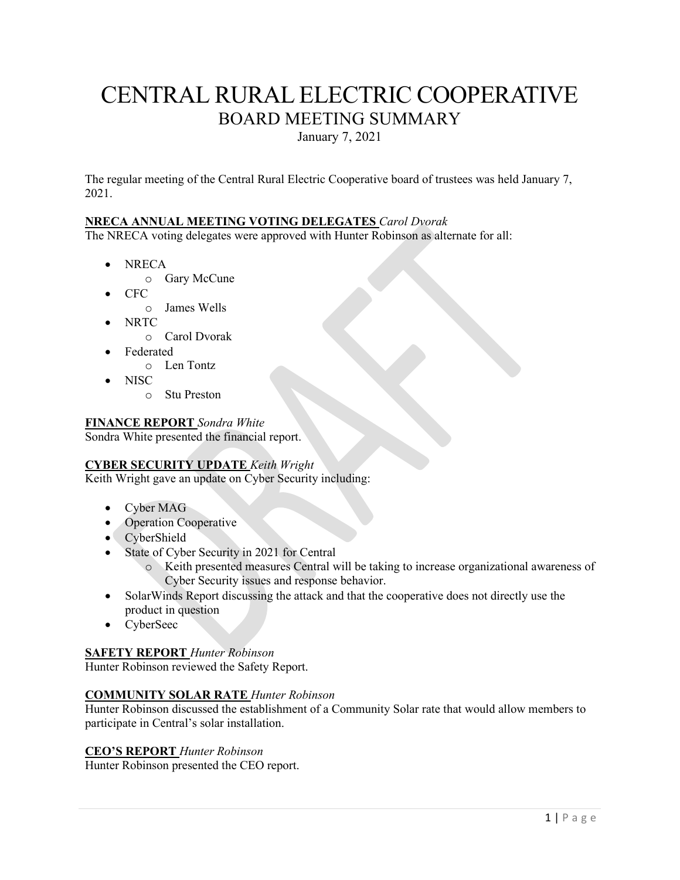# CENTRAL RURAL ELECTRIC COOPERATIVE BOARD MEETING SUMMARY

January 7, 2021

The regular meeting of the Central Rural Electric Cooperative board of trustees was held January 7, 2021.

# **NRECA ANNUAL MEETING VOTING DELEGATES** *Carol Dvorak*

The NRECA voting delegates were approved with Hunter Robinson as alternate for all:

- NRECA
	- o Gary McCune
- CFC
	- o James Wells
- NRTC
	- o Carol Dvorak
- Federated
	- o Len Tontz
- NISC
	- o Stu Preston

# **FINANCE REPORT** *Sondra White*

Sondra White presented the financial report.

# **CYBER SECURITY UPDATE** *Keith Wright*

Keith Wright gave an update on Cyber Security including:

- Cyber MAG
- Operation Cooperative
- CyberShield
- State of Cyber Security in 2021 for Central
	- o Keith presented measures Central will be taking to increase organizational awareness of Cyber Security issues and response behavior.
- SolarWinds Report discussing the attack and that the cooperative does not directly use the product in question
- CyberSeec

# **SAFETY REPORT** *Hunter Robinson*

Hunter Robinson reviewed the Safety Report.

# **COMMUNITY SOLAR RATE** *Hunter Robinson*

Hunter Robinson discussed the establishment of a Community Solar rate that would allow members to participate in Central's solar installation.

# **CEO'S REPORT** *Hunter Robinson*

Hunter Robinson presented the CEO report.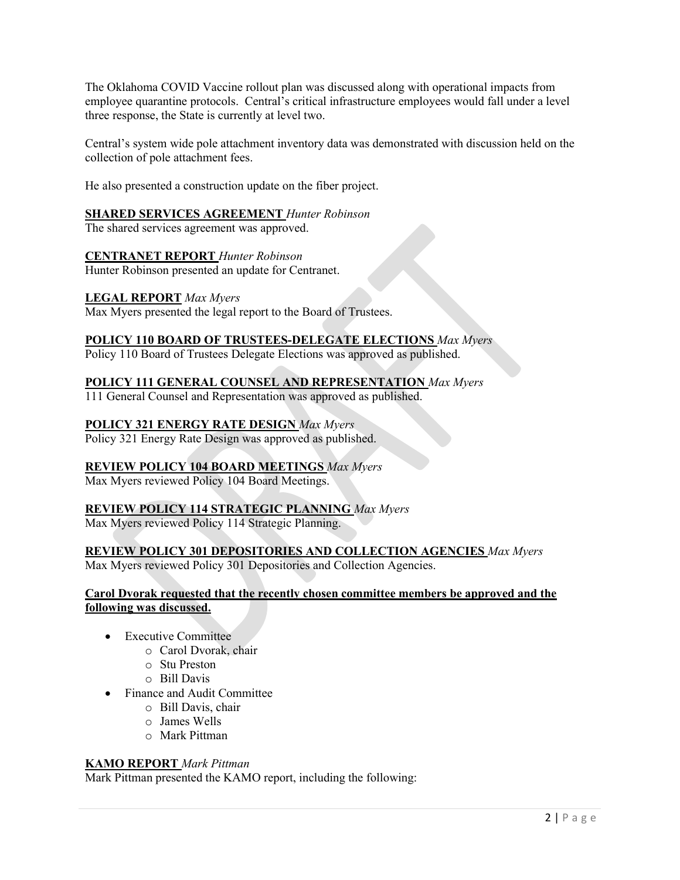The Oklahoma COVID Vaccine rollout plan was discussed along with operational impacts from employee quarantine protocols. Central's critical infrastructure employees would fall under a level three response, the State is currently at level two.

Central's system wide pole attachment inventory data was demonstrated with discussion held on the collection of pole attachment fees.

He also presented a construction update on the fiber project.

# **SHARED SERVICES AGREEMENT** *Hunter Robinson*

The shared services agreement was approved.

# **CENTRANET REPORT** *Hunter Robinson*

Hunter Robinson presented an update for Centranet.

# **LEGAL REPORT** *Max Myers*

Max Myers presented the legal report to the Board of Trustees.

# **POLICY 110 BOARD OF TRUSTEES-DELEGATE ELECTIONS** *Max Myers*

Policy 110 Board of Trustees Delegate Elections was approved as published.

# **POLICY 111 GENERAL COUNSEL AND REPRESENTATION** *Max Myers*

111 General Counsel and Representation was approved as published.

# **POLICY 321 ENERGY RATE DESIGN** *Max Myers*

Policy 321 Energy Rate Design was approved as published.

# **REVIEW POLICY 104 BOARD MEETINGS** *Max Myers*

Max Myers reviewed Policy 104 Board Meetings.

# **REVIEW POLICY 114 STRATEGIC PLANNING** *Max Myers*

Max Myers reviewed Policy 114 Strategic Planning.

# **REVIEW POLICY 301 DEPOSITORIES AND COLLECTION AGENCIES** *Max Myers*

Max Myers reviewed Policy 301 Depositories and Collection Agencies.

#### **Carol Dvorak requested that the recently chosen committee members be approved and the following was discussed.**

- **Executive Committee** 
	- o Carol Dvorak, chair
	- o Stu Preston
	- o Bill Davis
- Finance and Audit Committee
	- o Bill Davis, chair
	- o James Wells
	- o Mark Pittman

# **KAMO REPORT** *Mark Pittman*

Mark Pittman presented the KAMO report, including the following: